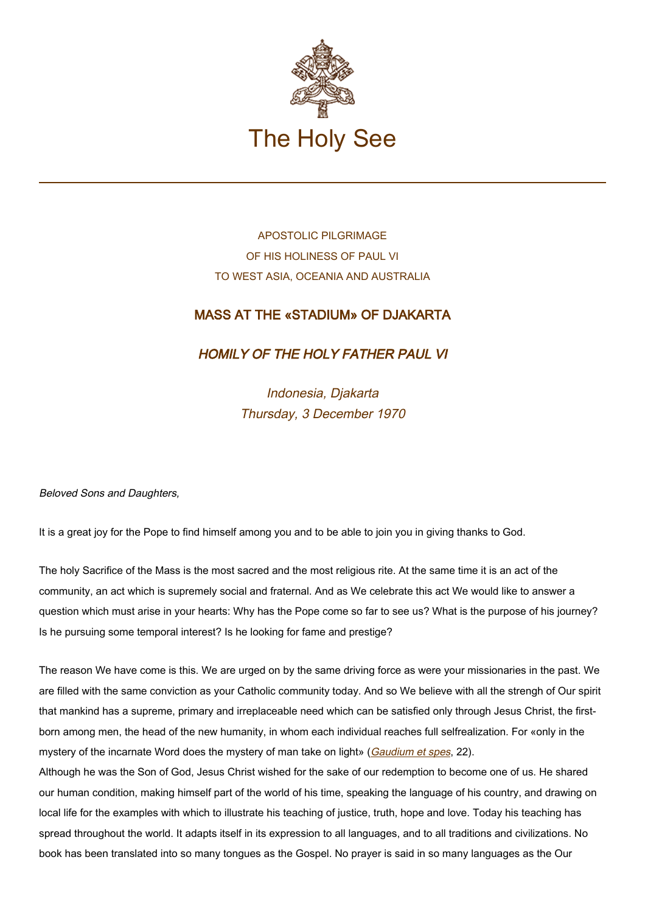

## APOSTOLIC PILGRIMAGE OF HIS HOLINESS OF PAUL VI TO WEST ASIA, OCEANIA AND AUSTRALIA

## MASS AT THE «STADIUM» OF DJAKARTA

HOMILY OF THE HOLY FATHER PAUL VI

Indonesia, Djakarta Thursday, 3 December 1970

Beloved Sons and Daughters,

It is a great joy for the Pope to find himself among you and to be able to join you in giving thanks to God.

The holy Sacrifice of the Mass is the most sacred and the most religious rite. At the same time it is an act of the community, an act which is supremely social and fraternal. And as We celebrate this act We would like to answer a question which must arise in your hearts: Why has the Pope come so far to see us? What is the purpose of his journey? Is he pursuing some temporal interest? Is he looking for fame and prestige?

The reason We have come is this. We are urged on by the same driving force as were your missionaries in the past. We are filled with the same conviction as your Catholic community today. And so We believe with all the strengh of Our spirit that mankind has a supreme, primary and irreplaceable need which can be satisfied only through Jesus Christ, the firstborn among men, the head of the new humanity, in whom each individual reaches full selfrealization. For «only in the mystery of the incarnate Word does the mystery of man take on light» ([Gaudium et spes](http://www.vatican.va/archive/hist_councils/ii_vatican_council/documents/vat-ii_cons_19651207_gaudium-et-spes_en.html), 22).

Although he was the Son of God, Jesus Christ wished for the sake of our redemption to become one of us. He shared our human condition, making himself part of the world of his time, speaking the language of his country, and drawing on local life for the examples with which to illustrate his teaching of justice, truth, hope and love. Today his teaching has spread throughout the world. It adapts itself in its expression to all languages, and to all traditions and civilizations. No book has been translated into so many tongues as the Gospel. No prayer is said in so many languages as the Our